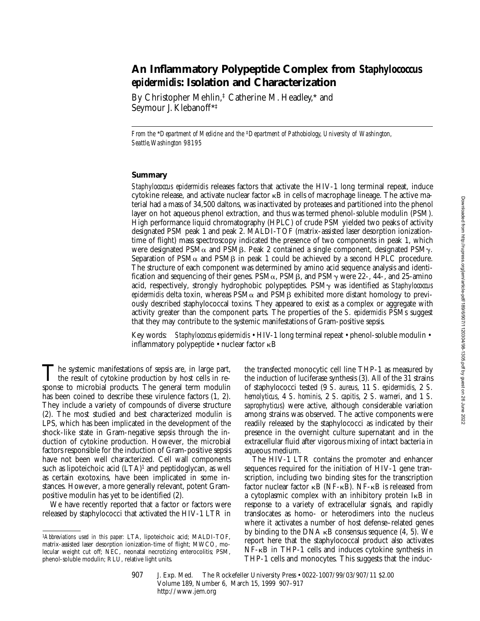# **An Inflammatory Polypeptide Complex from** *Staphylococcus epidermidis***: Isolation and Characterization**

By Christopher Mehlin,‡ Catherine M. Headley,\* and Seymour J. Klebanoff\*‡

*From the* \**Department of Medicine and the* ‡*Department of Pathobiology, University of Washington, Seattle, Washington 98195*

# **Summary**

*Staphylococcus epidermidis* releases factors that activate the HIV-1 long terminal repeat, induce cytokine release, and activate nuclear factor  $\kappa$ B in cells of macrophage lineage. The active material had a mass of 34,500 daltons, was inactivated by proteases and partitioned into the phenol layer on hot aqueous phenol extraction, and thus was termed phenol-soluble modulin (PSM). High performance liquid chromatography (HPLC) of crude PSM yielded two peaks of activity designated PSM peak 1 and peak 2. MALDI-TOF (matrix-assisted laser desorption ionizationtime of flight) mass spectroscopy indicated the presence of two components in peak 1, which were designated PSM $\alpha$  and PSM $\beta$ . Peak 2 contained a single component, designated PSM $\gamma$ . Separation of PSM $\alpha$  and PSM $\beta$  in peak 1 could be achieved by a second HPLC procedure. The structure of each component was determined by amino acid sequence analysis and identification and sequencing of their genes. PSM $\alpha$ , PSM $\beta$ , and PSM $\gamma$  were 22-, 44-, and 25-amino acid, respectively, strongly hydrophobic polypeptides. PSMg was identified as *Staphylococcus epidermidis* delta toxin, whereas  $PSM\alpha$  and  $PSM\beta$  exhibited more distant homology to previously described staphylococcal toxins. They appeared to exist as a complex or aggregate with activity greater than the component parts. The properties of the *S*. *epidermidis* PSMs suggest that they may contribute to the systemic manifestations of Gram-positive sepsis.

Key words: *Staphylococcus epidermidis* • HIV-1 long terminal repeat • phenol-soluble modulin • inflammatory polypeptide • nuclear factor kB

The systemic manifestations of sepsis are, in large part,<br>the result of cytokine production by host cells in response to microbial products. The general term modulin has been coined to describe these virulence factors (1, 2). They include a variety of compounds of diverse structure (2). The most studied and best characterized modulin is LPS, which has been implicated in the development of the shock-like state in Gram-negative sepsis through the induction of cytokine production. However, the microbial factors responsible for the induction of Gram-positive sepsis have not been well characterized. Cell wall components such as lipoteichoic acid  $(LTA)^1$  and peptidoglycan, as well as certain exotoxins, have been implicated in some instances. However, a more generally relevant, potent Grampositive modulin has yet to be identified (2).

We have recently reported that a factor or factors were released by staphylococci that activated the HIV-1 LTR in the transfected monocytic cell line THP-1 as measured by the induction of luciferase synthesis (3). All of the 31 strains of staphylococci tested (9 *S*. *aureus*, 11 *S*. *epidermidis*, 2 *S*. *hemolyticus*, 4 *S*. *hominis*, 2 *S*. *capitis*, 2 *S*. *warneri*, and 1 *S*. *saprophyticus*) were active, although considerable variation among strains was observed. The active components were readily released by the staphylococci as indicated by their presence in the overnight culture supernatant and in the extracellular fluid after vigorous mixing of intact bacteria in aqueous medium.

The HIV-1 LTR contains the promoter and enhancer sequences required for the initiation of HIV-1 gene transcription, including two binding sites for the transcription factor nuclear factor  $\kappa B$  (NF- $\kappa \bar{B}$ ). NF- $\kappa B$  is released from a cytoplasmic complex with an inhibitory protein IkB in response to a variety of extracellular signals, and rapidly translocates as homo- or heterodimers into the nucleus where it activates a number of host defense–related genes by binding to the DNA  $\kappa$ B consensus sequence (4, 5). We report here that the staphylococcal product also activates NF-kB in THP-1 cells and induces cytokine synthesis in THP-1 cells and monocytes. This suggests that the induc-

<sup>1</sup>*Abbreviations used in this paper:* LTA, lipoteichoic acid; MALDI-TOF, matrix-assisted laser desorption ionization-time of flight; MWCO, molecular weight cut off; NEC, neonatal necrotizing enterocolitis; PSM, phenol-soluble modulin; RLU, relative light units.

<sup>907</sup> J. Exp. Med. © The Rockefeller University Press • 0022-1007/99/03/907/11 \$2.00 Volume 189, Number 6, March 15, 1999 907–917 http://www.jem.org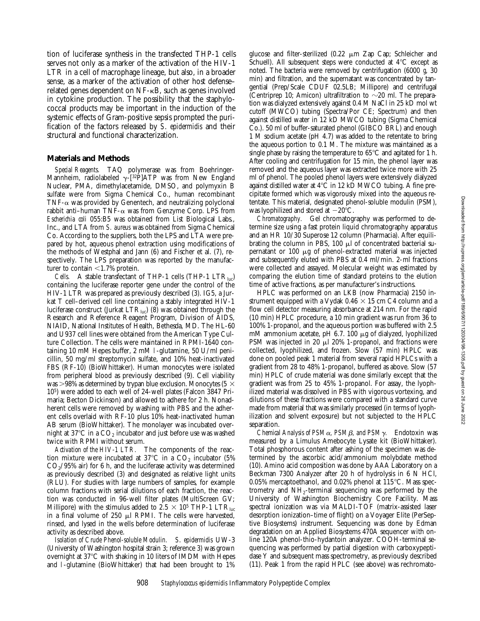tion of luciferase synthesis in the transfected THP-1 cells serves not only as a marker of the activation of the HIV-1 LTR in a cell of macrophage lineage, but also, in a broader sense, as a marker of the activation of other host defense– related genes dependent on NF-kB, such as genes involved in cytokine production. The possibility that the staphylococcal products may be important in the induction of the systemic effects of Gram-positive sepsis prompted the purification of the factors released by *S*. *epidermidis* and their structural and functional characterization.

# **Materials and Methods**

*Special Reagents.* TAQ polymerase was from Boehringer-Mannheim, radiolabeled  $\gamma$ -[<sup>32</sup>P]ATP was from New England Nuclear, PMA, dimethylacetamide, DMSO, and polymyxin B sulfate were from Sigma Chemical Co., human recombinant TNF- $\alpha$  was provided by Genentech, and neutralizing polyclonal rabbit anti-human TNF- $\alpha$  was from Genzyme Corp. LPS from *Escherichia coli* 055:B5 was obtained from List Biological Labs., Inc., and LTA from *S. aureus* was obtained from Sigma Chemical Co. According to the suppliers, both the LPS and LTA were prepared by hot, aqueous phenol extraction using modifications of the methods of Westphal and Jann (6) and Fischer et al. (7), respectively. The LPS preparation was reported by the manufacturer to contain  $<$  1.7% protein.

*Cells.* A stable transfectant of THP-1 cells (THP-1  $LTR_{\text{line}}$ ) containing the luciferase reporter gene under the control of the HIV-1 LTR was prepared as previously described (3). IG5, a Jurkat T cell–derived cell line containing a stably integrated HIV-1 luciferase construct (Jurkat  $LTR_{\text{luc}}$ ) (8) was obtained through the Research and Reference Reagent Program, Division of AIDS, NIAID, National Institutes of Health, Bethesda, MD. The HL-60 and U937 cell lines were obtained from the American Type Culture Collection. The cells were maintained in RPMI-1640 containing 10 mM Hepes buffer, 2 mM l-glutamine, 50 U/ml penicillin, 50 mg/ml streptomycin sulfate, and 10% heat-inactivated FBS (RF-10) (BioWhittaker). Human monocytes were isolated from peripheral blood as previously described (9). Cell viability was  $>98\%$  as determined by trypan blue exclusion. Monocytes (5  $\times$ 105) were added to each well of 24-well plates (Falcon 3847 Primaria; Becton Dickinson) and allowed to adhere for 2 h. Nonadherent cells were removed by washing with PBS and the adherent cells overlaid with RF-10 plus 10% heat-inactivated human AB serum (BioWhittaker). The monolayer was incubated overnight at 37 $^{\circ}$ C in a  $CO_2$  incubator and just before use was washed twice with RPMI without serum.

*Activation of the HIV-1 LTR.* The components of the reaction mixture were incubated at  $37^{\circ}$ C in a CO<sub>2</sub> incubator (5%)  $CO<sub>2</sub>/95%$  air) for 6 h, and the luciferase activity was determined as previously described (3) and designated as relative light units (RLU). For studies with large numbers of samples, for example column fractions with serial dilutions of each fraction, the reaction was conducted in 96-well filter plates (MultiScreen GV; Millipore) with the stimulus added to 2.5  $\times$  10<sup>5</sup> THP-1 LTR<sub>luc</sub> in a final volume of  $250 \mu l$  RPMI. The cells were harvested, rinsed, and lysed in the wells before determination of luciferase activity as described above.

*Isolation of Crude Phenol-soluble Modulin. S*. *epidermidis* UW-3 (University of Washington hospital strain 3; reference 3) was grown overnight at 37°C with shaking in 10 liters of IMDM with Hepes and l-glutamine (BioWhittaker) that had been brought to 1%

glucose and filter-sterilized (0.22  $\mu$ m Zap Cap; Schleicher and Schuell). All subsequent steps were conducted at  $4^{\circ}C$  except as noted. The bacteria were removed by centrifugation (6000 *g*, 30 min) and filtration, and the supernatant was concentrated by tangential (Prep/Scale CDUF 02.5LB; Millipore) and centrifugal (Centriprep 10; Amicon) ultrafiltration to  $\sim$ 20 ml. The preparation was dialyzed extensively against 0.4 M NaCl in 25 kD mol wt cutoff (MWCO) tubing (Spectra/Por CE; Spectrum) and then against distilled water in 12 kD MWCO tubing (Sigma Chemical Co.). 50 ml of buffer-saturated phenol (GIBCO BRL) and enough 1 M sodium acetate (pH 4.7) was added to the retentate to bring the aqueous portion to 0.1 M. The mixture was maintained as a single phase by raising the temperature to  $65^{\circ}$ C and agitated for 1 h. After cooling and centrifugation for 15 min, the phenol layer was removed and the aqueous layer was extracted twice more with 25 ml of phenol. The pooled phenol layers were extensively dialyzed against distilled water at  $4^{\circ}$ C in 12 kD MWCO tubing. A fine precipitate formed which was vigorously mixed into the aqueous retentate. This material, designated phenol-soluble modulin (PSM), was lyophilized and stored at  $-20^{\circ}$ C.

*Chromatography.* Gel chromatography was performed to determine size using a fast protein liquid chromatography apparatus and an HR 10/30 Superose 12 column (Pharmacia). After equilibrating the column in PBS,  $100 \mu l$  of concentrated bacterial supernatant or  $100 \mu g$  of phenol-extracted material was injected and subsequently eluted with PBS at 0.4 ml/min. 2-ml fractions were collected and assayed. Molecular weight was estimated by comparing the elution time of standard proteins to the elution time of active fractions, as per manufacturer's instructions.

HPLC was performed on an LKB (now Pharmacia) 2150 instrument equipped with a Vydak  $0.46 \times 15$  cm C4 column and a flow cell detector measuring absorbance at 214 nm. For the rapid (10 min) HPLC procedure, a 10 min gradient was run from 36 to 100% 1-propanol, and the aqueous portion was buffered with 2.5 mM ammonium acetate, pH 6.7. 100  $\mu$ g of dialyzed, lyophilized PSM was injected in 20  $\mu$ l 20% 1-propanol, and fractions were collected, lyophilized, and frozen. Slow (57 min) HPLC was done on pooled peak 1 material from several rapid HPLCs with a gradient from 28 to 48% 1-propanol, buffered as above. Slow (57 min) HPLC of crude material was done similarly except that the gradient was from 25 to 45% 1-propanol. For assay, the lyophilized material was dissolved in PBS with vigorous vortexing, and dilutions of these fractions were compared with a standard curve made from material that was similarly processed (in terms of lyophilization and solvent exposure) but not subjected to the HPLC separation.

*Chemical Analysis of PSMα, PSMβ, and PSMγ.* Endotoxin was measured by a Limulus Amebocyte Lysate kit (BioWhittaker). Total phosphorous content after ashing of the specimen was determined by the ascorbic acid/ammonium molybdate method (10). Amino acid composition was done by AAA Laboratory on a Beckman 7300 Analyzer after 20 h of hydrolysis in 6 N HCl, 0.05% mercaptoethanol, and 0.02% phenol at  $115^{\circ}$ C. Mass spectrometry and NH2-terminal sequencing was performed by the University of Washington Biochemistry Core Facility. Mass spectral ionization was via MALDI-TOF (matrix-assisted laser desorption ionization–time of flight) on a Voyager Elite (PerSeptive Biosystems) instrument. Sequencing was done by Edman degradation on an Applied Biosystems 470A sequencer with online 120A phenol-thio-hydantoin analyzer. COOH-terminal sequencing was performed by partial digestion with carboxypeptidase Y and subsequent mass spectrometry, as previously described (11). Peak 1 from the rapid HPLC (see above) was rechromato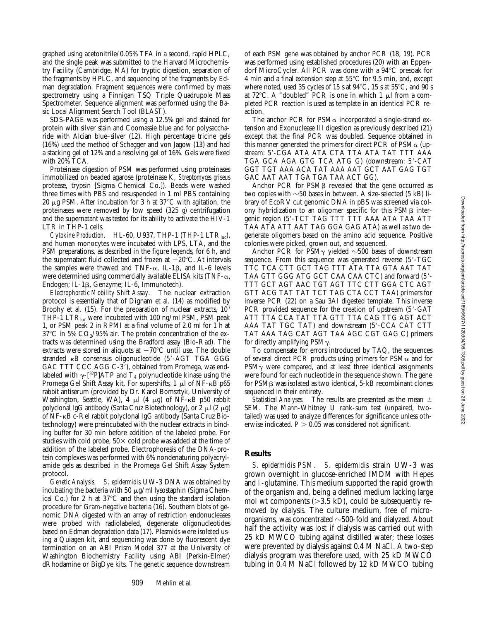graphed using acetonitrile/0.05% TFA in a second, rapid HPLC, and the single peak was submitted to the Harvard Microchemistry Facility (Cambridge, MA) for tryptic digestion, separation of the fragments by HPLC, and sequencing of the fragments by Edman degradation. Fragment sequences were confirmed by mass spectrometry using a Finnigan TSQ Triple Quadrupole Mass Spectrometer. Sequence alignment was performed using the Basic Local Alignment Search Tool (BLAST).

SDS-PAGE was performed using a 12.5% gel and stained for protein with silver stain and Coomassie blue and for polysaccharide with Alcian blue–silver (12). High percentage tricine gels (16%) used the method of Schagger and von Jagow (13) and had a stacking gel of 12% and a resolving gel of 16%. Gels were fixed with 20% TCA.

Proteinase digestion of PSM was performed using proteinases immobilized on beaded agarose (proteinase K, *Streptomyces griseus* protease, trypsin [Sigma Chemical Co.]). Beads were washed three times with PBS and resuspended in 1 ml PBS containing 20  $\mu$ g PSM. After incubation for 3 h at 37 $\degree$ C with agitation, the proteinases were removed by low speed (325 *g*) centrifugation and the supernatant was tested for its ability to activate the HIV-1 LTR in THP-1 cells.

 $C$ ytokine Production. HL-60, U937, THP-1 (THP-1 LTR<sub>luc</sub>), and human monocytes were incubated with LPS, LTA, and the PSM preparations, as described in the figure legends, for 6 h, and the supernatant fluid collected and frozen at  $-20^{\circ}$ C. At intervals the samples were thawed and TNF- $\alpha$ , IL-1 $\beta$ , and IL-6 levels were determined using commercially available ELISA kits (TNF- $\alpha$ , Endogen; IL-1b, Genzyme; IL-6, Immunotech).

*Electrophoretic Mobility Shift Assay.* The nuclear extraction protocol is essentially that of Dignam et al. (14) as modified by Brophy et al. (15). For the preparation of nuclear extracts, 107 THP-1 LT $R_{\text{lac}}$  were incubated with 100 ng/ml PSM, PSM peak 1, or PSM peak 2 in RPMI at a final volume of 2.0 ml for 1 h at  $37^{\circ}$ C in 5%  $CO_{2}/95\%$  air. The protein concentration of the extracts was determined using the Bradford assay (Bio-Rad). The extracts were stored in aliquots at  $-70^{\circ}$ C until use. The double stranded  $\kappa$ B consensus oligonucleotide (5'-AGT TGA GGG GAC TTT CCC AGG C-3'), obtained from Promega, was endlabeled with  $\gamma$ -[32P]ATP and T<sub>4</sub> polynucleotide kinase using the Promega Gel Shift Assay kit. For supershifts,  $1 \mu$ l of NF- $\kappa$ B p65 rabbit antiserum (provided by Dr. Karol Bomsztyk, University of Washington, Seattle, WA), 4  $\mu$ l (4  $\mu$ g) of NF- $\kappa$ B p50 rabbit polyclonal IgG antibody (Santa Cruz Biotechnology), or  $2 \mu$ l ( $2 \mu$ g) of NF-kB c-Rel rabbit polyclonal IgG antibody (Santa Cruz Biotechnology) were preincubated with the nuclear extracts in binding buffer for 30 min before addition of the labeled probe. For studies with cold probe,  $50\times$  cold probe was added at the time of addition of the labeled probe. Electrophoresis of the DNA-protein complexes was performed with 6% nondenaturing polyacrylamide gels as described in the Promega Gel Shift Assay System protocol.

*Genetic Analysis. S*. *epidermidis* UW-3 DNA was obtained by incubating the bacteria with 50  $\mu$ g/ml lysostaphin (Sigma Chemical Co.) for 2 h at  $37^{\circ}$ C and then using the standard isolation procedure for Gram-negative bacteria (16). Southern blots of genomic DNA digested with an array of restriction endonucleases were probed with radiolabeled, degenerate oligonucleotides based on Edman degradation data (17). Plasmids were isolated using a Quiagen kit, and sequencing was done by fluorescent dye termination on an ABI Prism Model 377 at the University of Washington Biochemistry Facility using ABI (Perkin-Elmer) dRhodamine or BigDye kits. The genetic sequence downstream of each PSM gene was obtained by anchor PCR (18, 19). PCR was performed using established procedures (20) with an Eppendorf MicroCycler. All PCR was done with a  $94^{\circ}$ C presoak for 4 min and a final extension step at  $55^{\circ}$ C for 9.5 min, and, except where noted, used 35 cycles of 15 s at  $94^{\circ}$ C, 15 s at 55 $^{\circ}$ C, and 90 s at 72 $^{\circ}$ C. A "doubled" PCR is one in which 1  $\mu$ l from a completed PCR reaction is used as template in an identical PCR reaction.

The anchor PCR for PSM $\alpha$  incorporated a single-strand extension and Exonuclease III digestion as previously described (21) except that the final PCR was doubled. Sequence obtained in this manner generated the primers for direct PCR of  $PSM\alpha$  (upstream: 5'-CGA ATA ATA CTA TTA ATA TAT TTT AAA TGA GCA AGA GTG TCA ATG G) (downstream: 5'-CAT GGT TGT AAA ACA TAT AAA AAT GCT AAT GAG TGT GAC AAT AAT TGA TGA TAA ACT GG).

Anchor PCR for  $PSM\beta$  revealed that the gene occurred as two copies with  $\sim$ 50 bases in between. A size-selected (5 kB) library of EcoRV cut genomic DNA in pBS was screened via colony hybridization to an oligomer specific for this  $PSM\beta$  intergenic region (5'-TCT TAG TTT TTT AAA ATA TAA ATT TAA ATA ATT AAT TAG GGA GAG ATA) as well as two degenerate oligomers based on the amino acid sequence. Positive colonies were picked, grown out, and sequenced.

Anchor PCR for PSM $\gamma$  yielded  $\sim$ 500 bases of downstream sequence. From this sequence was generated reverse  $(5'-TGC)$ TTC TCA CTT GCT TAG TTT ATA TTA GTA AAT TAT TAA GTT GGG ATG GCT CAA CAA CTC) and forward (5'-TTT GCT AGT AAC TGT AGT TTC CTT GGA CTC AGT GTT ACG TAT TAT TCT TAG CTA CCT TAA) primers for inverse PCR (22) on a Sau 3AI digested template. This inverse PCR provided sequence for the creation of upstream (5'-GAT ATT TTA CCA TAT TTA GTT TTA CAG TTG AGT ACT AAA TAT TGC TAT) and downstream (5'-CCA CAT CTT TAT AAA TAG CAT AGT TAA AGC CGT GAG C) primers for directly amplifying  $PSM_{\gamma}$ .

To compensate for errors introduced by TAQ, the sequences of several direct PCR products using primers for  $PSM\alpha$  and for  $PSM<sub>Y</sub>$  were compared, and at least three identical assignments were found for each nucleotide in the sequence shown. The gene for  $PSM\beta$  was isolated as two identical,  $5-kB$  recombinant clones sequenced in their entirety.

*Statistical Analyses.* The results are presented as the mean  $\pm$ SEM. The Mann-Whitney U rank-sum test (unpaired, twotailed) was used to analyze differences for significance unless otherwise indicated.  $P > 0.05$  was considered not significant.

# **Results**

*S. epidermidis PSM. S*. *epidermidis* strain UW-3 was grown overnight in glucose-enriched IMDM with Hepes and l-glutamine. This medium supported the rapid growth of the organism and, being a defined medium lacking large mol wt components ( $>3.5$  kD), could be subsequently removed by dialysis. The culture medium, free of microorganisms, was concentrated  $\sim$ 500-fold and dialyzed. About half the activity was lost if dialysis was carried out with 25 kD MWCO tubing against distilled water; these losses were prevented by dialysis against 0.4 M NaCl. A two-step dialysis program was therefore used, with 25 kD MWCO tubing in 0.4 M NaCl followed by 12 kD MWCO tubing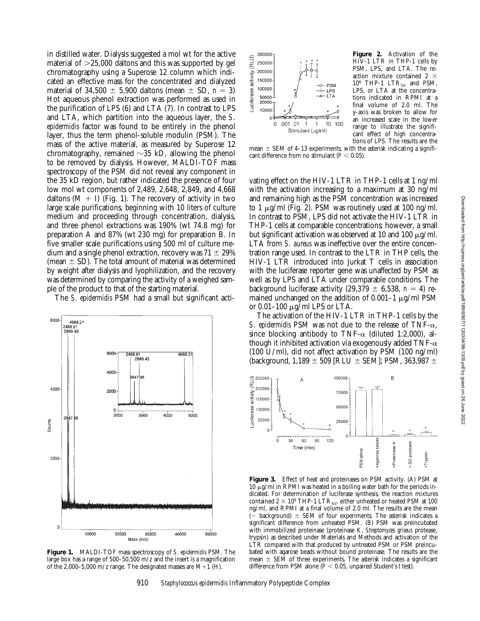in distilled water. Dialysis suggested a mol wt for the active material of  $>25,000$  daltons and this was supported by gel chromatography using a Superose 12 column which indicated an effective mass for the concentrated and dialyzed material of  $34,500 \pm 5,900$  daltons (mean  $\pm$  SD,  $n = 3$ ) Hot aqueous phenol extraction was performed as used in the purification of LPS (6) and LTA (7). In contrast to LPS and LTA, which partition into the aqueous layer, the *S*. *epidermidis* factor was found to be entirely in the phenol layer, thus the term phenol-soluble modulin (PSM). The mass of the active material, as measured by Superose 12 chromatography, remained  $\sim$ 35 kD, allowing the phenol to be removed by dialysis. However, MALDI-TOF mass spectroscopy of the PSM did not reveal any component in the 35 kD region, but rather indicated the presence of four low mol wt components of 2,489, 2,648, 2,849, and 4,668 daltons  $(M + I)$  (Fig. 1). The recovery of activity in two large scale purifications, beginning with 10 liters of culture medium and proceeding through concentration, dialysis, and three phenol extractions was 190% (wt 74.8 mg) for preparation A and 87% (wt 230 mg) for preparation B. In five smaller scale purifications using 500 ml of culture medium and a single phenol extraction, recovery was  $71 \pm 29\%$ (mean  $\pm$  SD). The total amount of material was determined by weight after dialysis and lyophilization, and the recovery was determined by comparing the activity of a weighed sample of the product to that of the starting material.

The *S*. *epidermidis* PSM had a small but significant acti-



**Figure 1.** MALDI-TOF mass spectroscopy of *S*. *epidermidis* PSM. The large box has a range of  $500-50,500$  m/z and the insert is a magnification of the 2,000–5,000 m/z range. The designated masses are  $M+1$  (H).



**Figure 2.** Activation of the HIV-1 LTR in THP-1 cells by PSM, LPS, and LTA. The reaction mixture contained 2  $\times$  $10^6$  THP-1  $\text{LTR}_{\text{luc}}$  and PSM, LPS, or LTA at the concentrations indicated in RPMI at a final volume of 2.0 ml. The y-axis was broken to allow for an increased scale in the lower range to illustrate the significant effect of high concentrations of LPS. The results are the

mean  $\pm$  SEM of 4–13 experiments, with the asterisk indicating a significant difference from no stimulant ( $P < 0.05$ ).

vating effect on the HIV-1 LTR in THP-1 cells at 1 ng/ml with the activation increasing to a maximum at 30 ng/ml and remaining high as the PSM concentration was increased to 1  $\mu$ g/ml (Fig. 2). PSM was routinely used at 100 ng/ml. In contrast to PSM, LPS did not activate the HIV-1 LTR in THP-1 cells at comparable concentrations; however, a small but significant activation was observed at 10 and 100  $\mu$ g/ml. LTA from *S. aureus* was ineffective over the entire concentration range used. In contrast to the LTR in THP cells, the HIV-1 LTR introduced into Jurkat T cells in association with the luciferase reporter gene was unaffected by PSM as well as by LPS and LTA under comparable conditions. The background luciferase activity (29,379  $\pm$  6,538, *n* = 4) remained unchanged on the addition of  $0.001-1 \mu g/ml$  PSM or  $0.01-100 \mu g/ml$  LPS or LTA.

The activation of the HIV-1 LTR in THP-1 cells by the *S. epidermidis* PSM was not due to the release of TNF- $\alpha$ , since blocking antibody to TNF- $\alpha$  (diluted 1:2,000), although it inhibited activation via exogenously added  $TNF-\alpha$ (100 U/ml), did not affect activation by PSM (100 ng/ml) (background,  $1,189 \pm 509$  [RLU  $\pm$  SEM]; PSM, 363,987  $\pm$ 



**Figure 3.** Effect of heat and proteinases on PSM activity. (A) PSM at  $10 \mu$ g/ml in RPMI was heated in a boiling water bath for the periods indicated. For determination of luciferase synthesis, the reaction mixtures contained  $2 \times 10^6$  THP-1 LTR<sub>luc</sub>, either unheated or heated PSM at 100 ng/ml, and RPMI at a final volume of 2.0 ml. The results are the mean  $(-$  background)  $\pm$  SEM of four experiments. The asterisk indicates a significant difference from unheated PSM. (B) PSM was preincubated with immobilized proteinase (proteinase K, *Streptomyces griseus* protease, trypsin) as described under Materials and Methods and activation of the LTR compared with that produced by untreated PSM or PSM preincubated with agarose beads without bound proteinase. The results are the mean  $\pm$  SEM of three experiments. The asterisk indicates a significant difference from PSM alone ( $P < 0.05$ , unpaired Student's *t* test).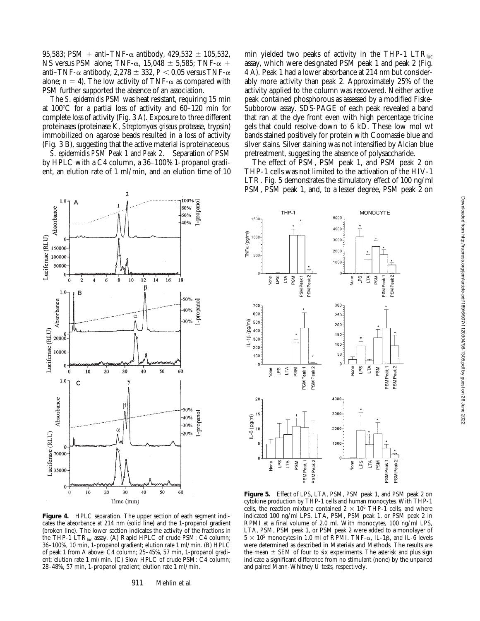95,583; PSM + anti–TNF- $\alpha$  antibody, 429,532  $\pm$  105,532, NS versus PSM alone; TNF- $\alpha$ , 15,048  $\pm$  5,585; TNF- $\alpha$  + anti–TNF- $\alpha$  antibody, 2,278  $\pm$  332,  $P < 0.05$  versus TNF- $\alpha$ alone;  $n = 4$ ). The low activity of TNF- $\alpha$  as compared with PSM further supported the absence of an association.

The *S*. *epidermidis* PSM was heat resistant, requiring 15 min at  $100^{\circ}$ C for a partial loss of activity and  $60-120$  min for complete loss of activity (Fig. 3 A). Exposure to three different proteinases (proteinase K, *Streptomyces griseus* protease, trypsin) immobilized on agarose beads resulted in a loss of activity (Fig. 3 B), suggesting that the active material is proteinaceous.

*S. epidermidis PSM Peak 1 and Peak 2.* Separation of PSM by HPLC with a C4 column, a 36–100% 1-propanol gradient, an elution rate of 1 ml/min, and an elution time of 10



Figure 4. HPLC separation. The upper section of each segment indicates the absorbance at 214 nm (solid line) and the 1-propanol gradient (broken line). The lower section indicates the activity of the fractions in the THP-1 LTRluc assay. (A) Rapid HPLC of crude PSM: C4 column; 36–100%, 10 min, 1-propanol gradient; elution rate 1 ml/min. (B) HPLC of peak 1 from A above: C4 column; 25–45%, 57 min, 1-propanol gradient; elution rate 1 ml/min. (C) Slow HPLC of crude PSM: C4 column; 28–48%, 57 min, 1-propanol gradient; elution rate 1 ml/min.

911 Mehlin et al.

min yielded two peaks of activity in the THP-1  $\text{LTR}_{\text{inc}}$ assay, which were designated PSM peak 1 and peak 2 (Fig. 4 A). Peak 1 had a lower absorbance at 214 nm but considerably more activity than peak 2. Approximately 25% of the activity applied to the column was recovered. Neither active peak contained phosphorous as assessed by a modified Fiske-Subborow assay. SDS-PAGE of each peak revealed a band that ran at the dye front even with high percentage tricine gels that could resolve down to 6 kD. These low mol wt bands stained positively for protein with Coomassie blue and silver stains. Silver staining was not intensified by Alcian blue pretreatment, suggesting the absence of polysaccharide.

The effect of PSM, PSM peak 1, and PSM peak 2 on THP-1 cells was not limited to the activation of the HIV-1 LTR. Fig. 5 demonstrates the stimulatory effect of 100 ng/ml PSM, PSM peak 1, and, to a lesser degree, PSM peak 2 on



**Figure 5.** Effect of LPS, LTA, PSM, PSM peak 1, and PSM peak 2 on cytokine production by THP-1 cells and human monocytes. With THP-1 cells, the reaction mixture contained  $2 \times 10^6$  THP-1 cells, and where indicated 100 ng/ml LPS, LTA, PSM, PSM peak 1, or PSM peak 2 in RPMI at a final volume of 2.0 ml. With monocytes, 100 ng/ml LPS, LTA, PSM, PSM peak 1, or PSM peak 2 were added to a monolayer of  $5 \times 10^5$  monocytes in 1.0 ml of RPMI. TNF- $\alpha$ , IL-1 $\beta$ , and IL-6 levels were determined as described in Materials and Methods. The results are the mean  $\pm$  SEM of four to six experiments. The asterisk and plus sign indicate a significant difference from no stimulant (none) by the unpaired and paired Mann-Whitney U tests, respectively.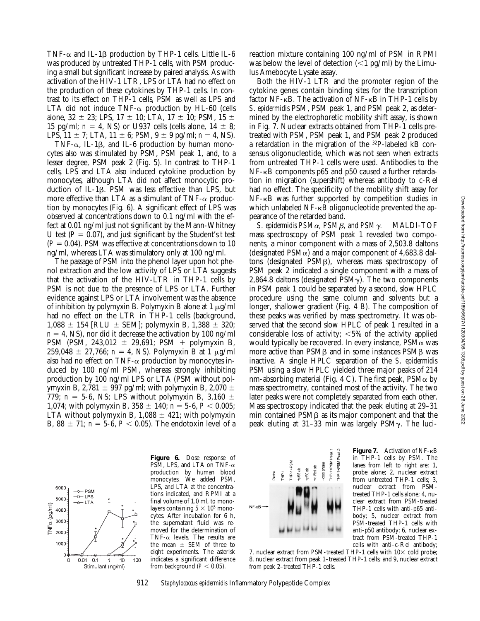TNF- $\alpha$  and IL-1 $\beta$  production by THP-1 cells. Little IL-6 was produced by untreated THP-1 cells, with PSM producing a small but significant increase by paired analysis. As with activation of the HIV-1 LTR, LPS or LTA had no effect on the production of these cytokines by THP-1 cells. In contrast to its effect on THP-1 cells, PSM as well as LPS and LTA did not induce TNF- $\alpha$  production by HL-60 (cells alone,  $32 \pm 23$ ; LPS,  $17 \pm 10$ ; LTA,  $17 \pm 10$ ; PSM,  $15 \pm 10$ 15 pg/ml;  $n = 4$ , NS) or U937 cells (cells alone,  $14 \pm 8$ ; LPS,  $11 \pm 7$ ; LTA,  $11 \pm 6$ ; PSM,  $9 \pm 9$  pg/ml;  $n = 4$ , NS).

TNF- $\alpha$ , IL-1 $\beta$ , and IL-6 production by human monocytes also was stimulated by PSM, PSM peak 1, and, to a lesser degree, PSM peak 2 (Fig. 5). In contrast to THP-1 cells, LPS and LTA also induced cytokine production by monocytes, although LTA did not affect monocytic production of IL-1β. PSM was less effective than LPS, but more effective than LTA as a stimulant of TNF- $\alpha$  production by monocytes (Fig. 6). A significant effect of LPS was observed at concentrations down to 0.1 ng/ml with the effect at 0.01 ng/ml just not significant by the Mann-Whitney U test  $(P = 0.07)$ , and just significant by the Student's *t* test  $(P = 0.04)$ . PSM was effective at concentrations down to 10 ng/ml, whereas LTA was stimulatory only at 100 ng/ml.

The passage of PSM into the phenol layer upon hot phenol extraction and the low activity of LPS or LTA suggests that the activation of the HIV-LTR in THP-1 cells by PSM is not due to the presence of LPS or LTA. Further evidence against LPS or LTA involvement was the absence of inhibition by polymyxin B. Polymyxin B alone at  $1 \mu g/ml$ had no effect on the LTR in THP-1 cells (background,  $1,088 \pm 154$  [RLU  $\pm$  SEM]; polymyxin B, 1,388  $\pm$  320;  $n = 4$ , NS), nor did it decrease the activation by 100 ng/ml PSM (PSM, 243,012  $\pm$  29,691; PSM + polymyxin B,  $259,048 \pm 27,766$ ;  $n = 4$ , NS). Polymyxin B at 1  $\mu$ g/ml also had no effect on TNF- $\alpha$  production by monocytes induced by 100 ng/ml PSM, whereas strongly inhibiting production by 100 ng/ml LPS or LTA (PSM without polymyxin B, 2,781  $\pm$  997 pg/ml; with polymyxin B, 2,070  $\pm$ 779;  $n = 5-6$ , NS; LPS without polymyxin B, 3,160  $\pm$ 1,074; with polymyxin B,  $358 \pm 140$ ;  $n = 5$ -6,  $P < 0.005$ ; LTA without polymyxin B,  $1,088 \pm 421$ ; with polymyxin B,  $88 \pm 71$ ;  $n = 5$ -6,  $P < 0.05$ ). The endotoxin level of a

reaction mixture containing 100 ng/ml of PSM in RPMI was below the level of detection  $\leq 1$  pg/ml) by the Limulus Amebocyte Lysate assay.

Both the HIV-1 LTR and the promoter region of the cytokine genes contain binding sites for the transcription factor NF-kB. The activation of NF-kB in THP-1 cells by *S*. *epidermidis* PSM, PSM peak 1, and PSM peak 2, as determined by the electrophoretic mobility shift assay, is shown in Fig. 7. Nuclear extracts obtained from THP-1 cells pretreated with PSM, PSM peak 1, and PSM peak 2 produced a retardation in the migration of the 32P-labeled kB consensus oligonucleotide, which was not seen when extracts from untreated THP-1 cells were used. Antibodies to the NF-kB components p65 and p50 caused a further retardation in migration (supershift) whereas antibody to c-Rel had no effect. The specificity of the mobility shift assay for NF-kB was further supported by competition studies in which unlabeled NF- $\kappa$ B oligonucleotide prevented the appearance of the retarded band.

*S. epidermidis PSMα, PSMβ, and PSMγ.* MALDI-TOF mass spectroscopy of PSM peak 1 revealed two components, a minor component with a mass of 2,503.8 daltons (designated  $PSM\alpha$ ) and a major component of 4,683.8 daltons (designated  $PSM\beta$ ), whereas mass spectroscopy of PSM peak 2 indicated a single component with a mass of 2,864.8 daltons (designated  $PSM<sub>Y</sub>$ ). The two components in PSM peak 1 could be separated by a second, slow HPLC procedure using the same column and solvents but a longer, shallower gradient (Fig. 4 B). The composition of these peaks was verified by mass spectrometry. It was observed that the second slow HPLC of peak 1 resulted in a considerable loss of activity;  $\leq 5\%$  of the activity applied would typically be recovered. In every instance,  $PSM\alpha$  was more active than  $PSM\beta$  and in some instances  $PSM\beta$  was inactive. A single HPLC separation of the *S*. *epidermidis* PSM using a slow HPLC yielded three major peaks of 214 nm-absorbing material (Fig. 4 C). The first peak,  $PSM\alpha$  by mass spectrometry, contained most of the activity. The two later peaks were not completely separated from each other. Mass spectroscopy indicated that the peak eluting at 29–31  $min$  contained  $PSM\beta$  as its major component and that the peak eluting at 31–33 min was largely  $PSM_{\gamma}$ . The luci-



**Figure 6.** Dose response of PSM, LPS, and LTA on TNF- $\alpha$ production by human blood monocytes. We added PSM, LPS, and LTA at the concentrations indicated, and RPMI at a final volume of 1.0 ml, to monolayers containing  $5 \times 10^5$  monocytes. After incubation for 6 h, the supernatant fluid was removed for the determination of TNF- $\alpha$  levels. The results are the mean  $\pm$  SEM of three to eight experiments. The asterisk indicates a significant difference from background  $(P < 0.05)$ .



**Figure 7.** Activation of NF- $\kappa$ B in THP-1 cells by PSM. The lanes from left to right are: 1, probe alone; 2, nuclear extract from untreated THP-1 cells; 3, nuclear extract from PSMtreated THP-1 cells alone; 4, nuclear extract from PSM-treated THP-1 cells with anti-p65 antibody; 5, nuclear extract from PSM-treated THP-1 cells with anti-p50 antibody; 6, nuclear extract from PSM-treated THP-1 cells with anti–c-Rel antibody;

7, nuclear extract from PSM-treated THP-1 cells with  $10\times$  cold probe; 8, nuclear extract from peak 1–treated THP-1 cells; and 9, nuclear extract from peak 2–treated THP-1 cells.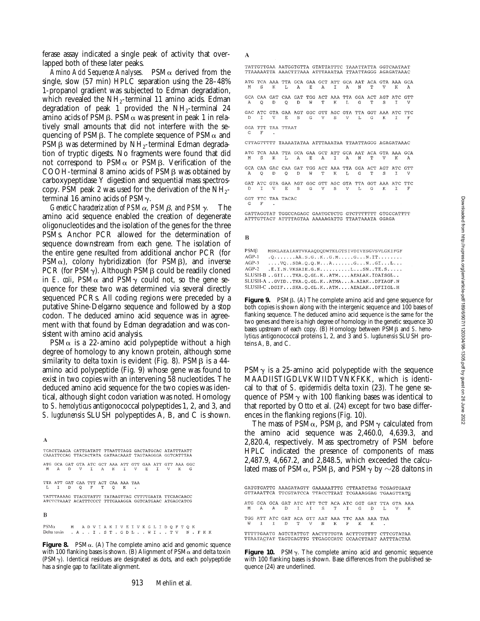ferase assay indicated a single peak of activity that overlapped both of these later peaks.

*Amino Acid Sequence Analyses.* PSMa derived from the single, slow (57 min) HPLC separation using the 28–48% 1-propanol gradient was subjected to Edman degradation, which revealed the NH<sub>2</sub>-terminal 11 amino acids. Edman degradation of peak 1 provided the  $NH<sub>2</sub>$ -terminal 24 amino acids of PSMB. PSM $\alpha$  was present in peak 1 in relatively small amounts that did not interfere with the sequencing of PSM $\beta$ . The complete sequence of PSM $\alpha$  and PSMB was determined by NH<sub>2</sub>-terminal Edman degradation of tryptic digests. No fragments were found that did not correspond to  $PSM\alpha$  or  $PSM\beta$ . Verification of the COOH-terminal 8 amino acids of PSMB was obtained by carboxypeptidase Y digestion and sequential mass spectroscopy. PSM peak 2 was used for the derivation of the  $NH_{2}$ terminal 16 amino acids of PSMγ.

*Genetic Characterization of PSM*a*, PSM*b*, and PSM*g*.* The amino acid sequence enabled the creation of degenerate oligonucleotides and the isolation of the genes for the three PSMs. Anchor PCR allowed for the determination of sequence downstream from each gene. The isolation of the entire gene resulted from additional anchor PCR (for  $PSM\alpha$ ), colony hybridization (for  $PSM\beta$ ), and inverse PCR (for  $PSM<sub>Y</sub>$ ). Although PSM $\beta$  could be readily cloned in *E. coli*, PSM $\alpha$  and PSM $\gamma$  could not, so the gene sequence for these two was determined via several directly sequenced PCRs. All coding regions were preceded by a putative Shine-Delgarno sequence and followed by a stop codon. The deduced amino acid sequence was in agreement with that found by Edman degradation and was consistent with amino acid analysis.

 $PSM\alpha$  is a 22-amino acid polypeptide without a high degree of homology to any known protein, although some similarity to delta toxin is evident (Fig. 8). PSM $\beta$  is a 44amino acid polypeptide (Fig. 9) whose gene was found to exist in two copies with an intervening 58 nucleotides. The deduced amino acid sequence for the two copies was identical, although slight codon variation was noted. Homology to *S*. *hemolyticus* antigonococcal polypeptides 1, 2, and 3, and *S*. *lugdunensis* SLUSH polypeptides A, B, and C is shown.

 $\Lambda$ TCACTTAAGA CATTGATATT TTAATTTAGG GACTATGCAC ATATTTAATT CAAATTCCAG TTACACTATA GATAACAAAT TAGTAAGGGA GGTCATTTAA ATG GCA GAT GTA ATC GCT AAA ATT GTT GAA ATT GTT AAA GGC  $T$  $A$  $\mathbf{K}$  $\mathbf{T}$  $\mathbf{V}$  $\mathbf{E}$  $\mathbf{r}$ G TTA ATT GAT CAA TTT ACT CAA AAA TAA  $O$  F  $\circ$  $\mathbf{D}$ K TATTTAAAAG TTACGTATTT TATAAGTTAG CTTTTGAATA TTCAACAACC<br>ATCTCTAAAT ACATTTCCCT TTTGAAAGGA GGTCATGAAC ATGAGCATCG B

M ADVIAKIVEIVKGLIDOFTOK  $PSM\alpha$ Delta toxin . A . . I . S T . G D L . . W I . . T V N . F K K

**Figure 8.** PSM $\alpha$ . (A) The complete amino acid and genomic squence with 100 flanking bases is shown. (B) Alignment of  $PSM\alpha$  and delta toxin (PSMg). Identical residues are designated as dots, and each polypeptide has a single gap to facilitate alignment.

TATTGTTGAA AATGGTGTTA GTATTATTTC TAAATTATTA GGTCAATAAT TTAAAAATTA AAACTTTAAA ATTTAAATAA TTAATTAGGG AGAGATAAAC ATG TCA AAA TTA GCA GAA GCT ATT GCA AAT ACA GTA AAA GCA  $M \quad S \quad K \quad L \quad A \quad E \quad A \quad I \quad A \quad N \quad T$  ${\tt V}$   $\hfill {\tt K}$   $\hfill {\tt A}$ GCA CAA GAT CAA GAT TGG ACT AAA TTA GGA ACT AGT ATC GTT A Q D Q D W T K L G T S  $\mathbf{I}$ GAC ATC GTA GAA AGT GGC GTT AGC GTA TTA GGT AAA ATC TTC  $\mathbb I$  . <br> V  $\mathbb E$ <sup>D</sup> -S G  $\overline{V}$ S  $\mathbf{V}$  $T_{\star}$ G K GGA TTT TAA TTAAT CTTAGTTTTT TAAAATATAA ATTTAAATAA TTAATTAGGG AGAGATAAAC ATG TCA AAA TTA GCA GAA GCT ATT GCA AAT ACA GTA AAA GCA A E A  $\mathbf K^ \mathbf{L}$  $I$  A  $_{\rm N}$ GCA CAA GAC CAA GAT TGG ACT AAA TTA GGA ACT AGT ATC GTT  $Q$ D.  $\overline{M}$  $\mathbf L$  $Q$ D T К  $G$ S GAT ATC GTA GAA AGT GGC GTT AGC GTA TTA GGT AAA ATC TTC  $\overline{D}$  $\overline{\mathbf{v}}$  $E$  S G  $\overline{V}$ s  $\dot{V}$ 

GGT TTC TAA TACAC  $\mathsf{G}$  $\mathbf{F}$  $\,$  .

GATTAGGTAT TGGCCAGAGC GAATGCTCTG GTCTTTTTTT GTGCCATTTT ATTTGTTACT ATTTTAGTAA AAAAAGATTG TTAATAAATA GGAGA

 $\mathbf{B}$ 

 $\mathbf{A}$ 

| PSMB    | MSKLAEAIANTVKAAODODWTKLGTSIVDIVESGVSVLGKIFGF                       |
|---------|--------------------------------------------------------------------|
| $AGP-1$ | $. Q. \ldots . A A. S. G. . K. . G.M. \ldots . G. N. IT. \ldots .$ |
| 4GP-3   | $\ldots$ . VO. . SDA. 0.0. N. A. G. N. . GI. L.                    |
| $AGP-2$ | $.E.I.N.VKSALE.G.N.$ $L. S N. . TE. S.$                            |
|         | SLUSH-BGIITKA.Q.GL.KATMAEALAK.IDAISGL                              |
|         | SLUSH-A GVID. . TKA. Q. GL. K. . ATMA. A. AIAK. . DFIAGF. N        |
|         | SLUSH-C .DGIFSKA.Q.GL.KATMAEALAKDFIIGL.H                           |

**Figure 9.** PSMB. (A) The complete amino acid and gene sequence for both copies is shown along with the intergenic sequence and 100 bases of flanking sequence. The deduced amino acid sequence is the same for the two genes and there is a high degree of homology in the genetic sequence 30 bases upstream of each copy. (B) Homology between PSM<sub>B</sub> and *S. hemolyticus* antigonococcal proteins 1, 2, and 3 and *S*. *lugdunensis* SLUSH proteins A, B, and C.

 $PSM<sub>Y</sub>$  is a 25-amino acid polypeptide with the sequence MAADIISTIGDLVKWIIDTVNKFKK, which is identical to that of *S*. *epidermidis* delta toxin (23). The gene sequence of  $PSM\gamma$  with 100 flanking bases was identical to that reported by Otto et al. (24) except for two base differences in the flanking regions (Fig. 10).

The mass of PSM $\alpha$ , PSM $\beta$ , and PSM $\gamma$  calculated from the amino acid sequence was 2,460.0, 4,639.3, and 2,820.4, respectively. Mass spectrometry of PSM before HPLC indicated the presence of components of mass 2,487.9, 4,667.2, and 2,848.5, which exceeded the calculated mass of PSM $\alpha$ , PSM $\beta$ , and PSM $\gamma$  by  $\sim$ 28 daltons in

|                                                       |  |  |                                                 |  |  |  |  |  |  |  | GATGTGATTG AAAGATAGTT GAAAAATTTG CTTAATCTAG TCGAGTGAAT                                  |  |
|-------------------------------------------------------|--|--|-------------------------------------------------|--|--|--|--|--|--|--|-----------------------------------------------------------------------------------------|--|
|                                                       |  |  |                                                 |  |  |  |  |  |  |  | GTTAAATTCA TTCGTATCCA TTACCTTAAT TCGAAAGGAG TGAAGTTATG                                  |  |
|                                                       |  |  |                                                 |  |  |  |  |  |  |  | ATG GCA GCA GAT ATC ATT TCT ACA ATC GGT GAT TTA GTA AAA<br>M A A D T T S T T G D T. V K |  |
|                                                       |  |  | TGG ATT ATC GAT ACA GTT AAT AAA TTC AAA AAA TAA |  |  |  |  |  |  |  |                                                                                         |  |
|                                                       |  |  | WIID TVN KFKK.                                  |  |  |  |  |  |  |  |                                                                                         |  |
| OURRELLATO ACROBARDOR AACROMACEA ACROSCOROM CRECCOARA |  |  |                                                 |  |  |  |  |  |  |  |                                                                                         |  |

TITITGAATG AGTCIATIGT AACTITIGTA ACTTTGTTTT CTTCGTATAA<br>TTAATACTAT TAGTGAGTTG TTGAGCCATC CCAACTTAAT AATTTACTAA Figure 10. PSM<sub>Y</sub>. The complete amino acid and genomic sequence

with 100 flanking bases is shown. Base differences from the published sequence (24) are underlined.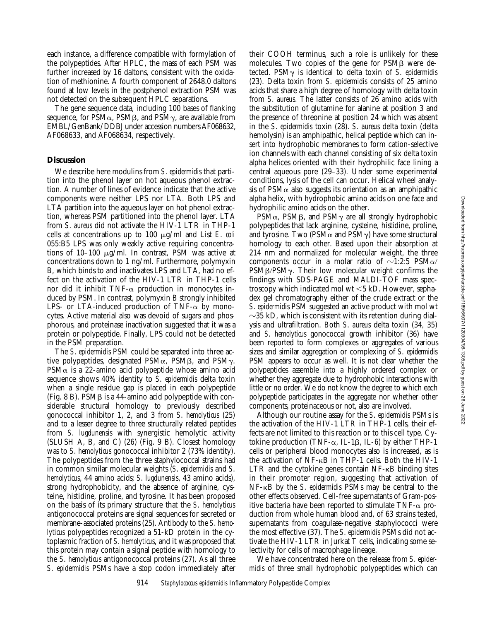each instance, a difference compatible with formylation of the polypeptides. After HPLC, the mass of each PSM was further increased by 16 daltons, consistent with the oxidation of methionine. A fourth component of 2648.0 daltons found at low levels in the postphenol extraction PSM was not detected on the subsequent HPLC separations.

The gene sequence data, including 100 bases of flanking sequence, for  $PSM\alpha$ ,  $PSMB$ , and  $PSM\gamma$ , are available from EMBL/GenBank/DDBJ under accession numbers AF068632, AF068633, and AF068634, respectively.

# **Discussion**

We describe here modulins from *S*. *epidermidis* that partition into the phenol layer on hot aqueous phenol extraction. A number of lines of evidence indicate that the active components were neither LPS nor LTA. Both LPS and LTA partition into the aqueous layer on hot phenol extraction, whereas PSM partitioned into the phenol layer. LTA from *S*. *aureus* did not activate the HIV-1 LTR in THP-1 cells at concentrations up to 100 mg/ml and List *E*. *coli* 055:B5 LPS was only weakly active requiring concentrations of 10–100  $\mu$ g/ml. In contrast, PSM was active at concentrations down to 1 ng/ml. Furthermore, polymyxin B, which binds to and inactivates LPS and LTA, had no effect on the activation of the HIV-1 LTR in THP-1 cells nor did it inhibit TNF- $\alpha$  production in monocytes induced by PSM. In contrast, polymyxin B strongly inhibited LPS- or LTA-induced production of TNF- $\alpha$  by monocytes. Active material also was devoid of sugars and phosphorous, and proteinase inactivation suggested that it was a protein or polypeptide. Finally, LPS could not be detected in the PSM preparation.

The *S*. *epidermidis* PSM could be separated into three active polypeptides, designated  $PSM\alpha$ ,  $PSM\beta$ , and  $PSM\gamma$ .  $PSM\alpha$  is a 22-amino acid polypeptide whose amino acid sequence shows 40% identity to *S*. *epidermidis* delta toxin when a single residue gap is placed in each polypeptide (Fig. 8 B). PSM $\beta$  is a 44-amino acid polypeptide with considerable structural homology to previously described gonococcal inhibitor 1, 2, and 3 from *S*. *hemolyticus* (25) and to a lesser degree to three structurally related peptides from *S*. *lugdunensis* with synergistic hemolytic activity (SLUSH A, B, and C) (26) (Fig. 9 B). Closest homology was to *S*. *hemolyticus* gonococcal inhibitor 2 (73% identity). The polypeptides from the three staphylococcal strains had in common similar molecular weights (*S*. *epidermidis* and *S*. *hemolyticus*, 44 amino acids; *S*. *lugdunensis*, 43 amino acids), strong hydrophobicity, and the absence of arginine, cysteine, histidine, proline, and tyrosine. It has been proposed on the basis of its primary structure that the *S*. *hemolyticus* antigonococcal proteins are signal sequences for secreted or membrane-associated proteins (25). Antibody to the *S*. *hemolyticus* polypeptides recognized a 51-kD protein in the cytoplasmic fraction of *S*. *hemolyticus*, and it was proposed that this protein may contain a signal peptide with homology to the *S*. *hemolyticus* antigonococcal proteins (27). As all three *S*. *epidermidis* PSMs have a stop codon immediately after

their COOH terminus, such a role is unlikely for these molecules. Two copies of the gene for  $PSM\beta$  were detected. PSMg is identical to delta toxin of *S*. *epidermidis* (23). Delta toxin from *S*. *epidermidis* consists of 25 amino acids that share a high degree of homology with delta toxin from *S*. *aureus*. The latter consists of 26 amino acids with the substitution of glutamine for alanine at position 3 and the presence of threonine at position 24 which was absent in the *S*. *epidermidis* toxin (28). *S*. *aureus* delta toxin (delta hemolysin) is an amphipathic, helical peptide which can insert into hydrophobic membranes to form cation-selective ion channels with each channel consisting of six delta toxin alpha helices oriented with their hydrophilic face lining a central aqueous pore (29–33). Under some experimental conditions, lysis of the cell can occur. Helical wheel analysis of  $PSM\alpha$  also suggests its orientation as an amphipathic alpha helix, with hydrophobic amino acids on one face and hydrophilic amino acids on the other.

 $PSM\alpha$ , PSMB, and PSM $\gamma$  are all strongly hydrophobic polypeptides that lack arginine, cysteine, histidine, proline, and tyrosine. Two (PSM $\alpha$  and PSM $\gamma$ ) have some structural homology to each other. Based upon their absorption at 214 nm and normalized for molecular weight, the three components occur in a molar ratio of  $\sim$ 1:2:5 PSM $\alpha$ /  $PSM\beta/PSM\gamma$ . Their low molecular weight confirms the findings with SDS-PAGE and MALDI-TOF mass spectroscopy which indicated mol wt  $<$  5 kD. However, sephadex gel chromatography either of the crude extract or the *S*. *epidermidis* PSM suggested an active product with mol wt  $\sim$ 35 kD, which is consistent with its retention during dialysis and ultrafiltration. Both *S*. *aureus* delta toxin (34, 35) and *S*. *hemolyticus* gonococcal growth inhibitor (36) have been reported to form complexes or aggregates of various sizes and similar aggregation or complexing of *S*. *epidermidis* PSM appears to occur as well. It is not clear whether the polypeptides assemble into a highly ordered complex or whether they aggregate due to hydrophobic interactions with little or no order. We do not know the degree to which each polypeptide participates in the aggregate nor whether other components, proteinaceous or not, also are involved.

Although our routine assay for the *S*. *epidermidis* PSMs is the activation of the HIV-1 LTR in THP-1 cells, their effects are not limited to this reaction or to this cell type. Cytokine production (TNF- $\alpha$ , IL-1 $\beta$ , IL-6) by either THP-1 cells or peripheral blood monocytes also is increased, as is the activation of NF-kB in THP-1 cells. Both the HIV-1  $LTR$  and the cytokine genes contain  $NF-\kappa B$  binding sites in their promoter region, suggesting that activation of NF-kB by the *S*. *epidermidis* PSMs may be central to the other effects observed. Cell-free supernatants of Gram-positive bacteria have been reported to stimulate  $TNF-\alpha$  production from whole human blood and, of 63 strains tested, supernatants from coagulase-negative staphylococci were the most effective (37). The *S*. *epidermidis* PSMs did not activate the HIV-1 LTR in Jurkat T cells, indicating some selectivity for cells of macrophage lineage.

We have concentrated here on the release from *S*. *epidermidis* of three small hydrophobic polypeptides which can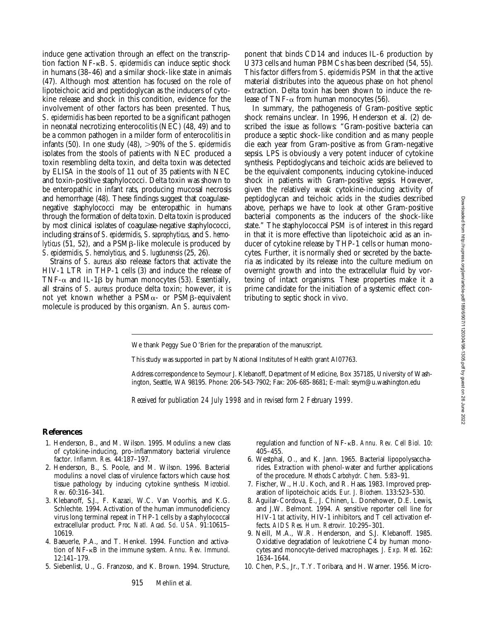induce gene activation through an effect on the transcription faction NF-kB. *S*. *epidermidis* can induce septic shock in humans (38–46) and a similar shock-like state in animals (47). Although most attention has focused on the role of lipoteichoic acid and peptidoglycan as the inducers of cytokine release and shock in this condition, evidence for the involvement of other factors has been presented. Thus, *S*. *epidermidis* has been reported to be a significant pathogen in neonatal necrotizing enterocolitis (NEC) (48, 49) and to be a common pathogen in a milder form of enterocolitis in infants  $(50)$ . In one study  $(48)$ ,  $>90\%$  of the *S*. *epidermidis* isolates from the stools of patients with NEC produced a toxin resembling delta toxin, and delta toxin was detected by ELISA in the stools of 11 out of 35 patients with NEC and toxin-positive staphylococci. Delta toxin was shown to be enteropathic in infant rats, producing mucosal necrosis and hemorrhage (48). These findings suggest that coagulasenegative staphylococci may be enteropathic in humans through the formation of delta toxin. Delta toxin is produced by most clinical isolates of coagulase-negative staphylococci, including strains of *S*. *epidermidis*, *S*. *saprophyticus*, and *S*. *hemolyticus* (51, 52), and a PSM<sub>B</sub>-like molecule is produced by *S*. *epidermidis*, *S*. *hemolyticus*, and *S*. *lugdunensis* (25, 26).

Strains of *S*. *aureus* also release factors that activate the HIV-1 LTR in THP-1 cells (3) and induce the release of TNF- $\alpha$  and IL-1 $\beta$  by human monocytes (53). Essentially, all strains of *S*. *aureus* produce delta toxin; however, it is not yet known whether a PSM $\alpha$ - or PSM $\beta$ -equivalent molecule is produced by this organism. An *S*. *aureus* component that binds CD14 and induces IL-6 production by U373 cells and human PBMCs has been described (54, 55). This factor differs from *S*. *epidermidis* PSM in that the active material distributes into the aqueous phase on hot phenol extraction. Delta toxin has been shown to induce the release of TNF- $\alpha$  from human monocytes (56).

In summary, the pathogenesis of Gram-positive septic shock remains unclear. In 1996, Henderson et al. (2) described the issue as follows: "Gram-positive bacteria can produce a septic shock-like condition and as many people die each year from Gram-positive as from Gram-negative sepsis. LPS is obviously a very potent inducer of cytokine synthesis. Peptidoglycans and teichoic acids are believed to be the equivalent components, inducing cytokine-induced shock in patients with Gram-positive sepsis. However, given the relatively weak cytokine-inducing activity of peptidoglycan and teichoic acids in the studies described above, perhaps we have to look at other Gram-positive bacterial components as the inducers of the shock-like state." The staphylococcal PSM is of interest in this regard in that it is more effective than lipoteichoic acid as an inducer of cytokine release by THP-1 cells or human monocytes. Further, it is normally shed or secreted by the bacteria as indicated by its release into the culture medium on overnight growth and into the extracellular fluid by vortexing of intact organisms. These properties make it a prime candidate for the initiation of a systemic effect contributing to septic shock in vivo.

We thank Peggy Sue O'Brien for the preparation of the manuscript.

This study was supported in part by National Institutes of Health grant AI07763.

Address correspondence to Seymour J. Klebanoff, Department of Medicine, Box 357185, University of Washington, Seattle, WA 98195. Phone: 206-543-7902; Fax: 206-685-8681; E-mail: seym@u.washington.edu

*Received for publication 24 July 1998 and in revised form 2 February 1999.*

### **References**

- 1. Henderson, B., and M. Wilson. 1995. Modulins: a new class of cytokine-inducing, pro-inflammatory bacterial virulence factor. *Inflamm. Res.* 44:187–197.
- 2. Henderson, B., S. Poole, and M. Wilson. 1996. Bacterial modulins: a novel class of virulence factors which cause host tissue pathology by inducing cytokine synthesis. *Microbiol. Rev.* 60:316–341.
- 3. Klebanoff, S.J., F. Kazazi, W.C. Van Voorhis, and K.G. Schlechte. 1994. Activation of the human immunodeficiency virus long terminal repeat in THP-1 cells by a staphylococcal extracellular product. *Proc. Natl. Acad. Sci. USA.* 91:10615– 10619.
- 4. Baeuerle, P.A., and T. Henkel. 1994. Function and activation of NF-kB in the immune system. *Annu. Rev. Immunol.* 12:141–179.
- 5. Siebenlist, U., G. Franzoso, and K. Brown. 1994. Structure,

regulation and function of NF-kB. *Annu. Rev. Cell Biol.* 10: 405–455.

- 6. Westphal, O., and K. Jann. 1965. Bacterial lipopolysaccharides. Extraction with phenol-water and further applications of the procedure. *Methods Carbohydr. Chem.* 5:83–91.
- 7. Fischer, W., H.U. Koch, and R. Haas. 1983. Improved preparation of lipoteichoic acids. *Eur. J. Biochem.* 133:523–530.
- 8. Aguilar-Cordova, E., J. Chinen, L. Donehower, D.E. Lewis, and J.W. Belmont. 1994. A sensitive reporter cell line for HIV-1 *tat* activity, HIV-1 inhibitors, and T cell activation effects. *AIDS Res. Hum. Retrovir.* 10:295–301.
- 9. Neill, M.A., W.R. Henderson, and S.J. Klebanoff. 1985. Oxidative degradation of leukotriene C4 by human monocytes and monocyte-derived macrophages. *J. Exp. Med.* 162: 1634–1644.
- 10. Chen, P.S., Jr., T.Y. Toribara, and H. Warner. 1956. Micro-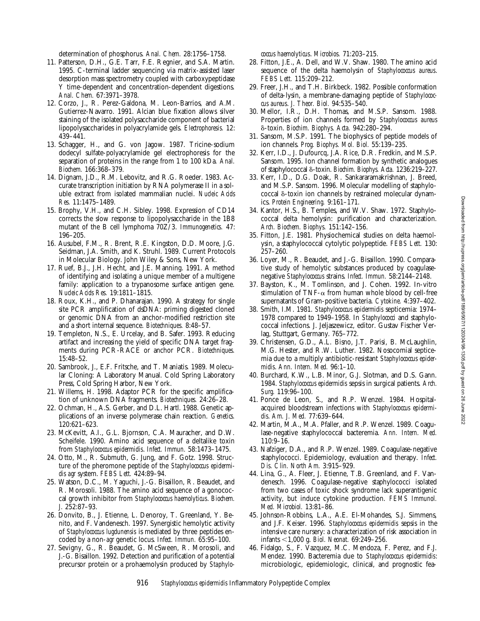- 1995. C-terminal ladder sequencing via matrix-assisted laser desorption mass spectrometry coupled with carboxypeptidase Y time-dependent and concentration-dependent digestions. *Anal. Chem.* 67:3971–3978.
- 12. Corzo, J., R. Perez-Galdona, M. Leon-Barrios, and A.M. Gutierrez-Navarro. 1991. Alcian blue fixation allows silver staining of the isolated polysaccharide component of bacterial lipopolysaccharides in polyacrylamide gels. *Electrophoresis.* 12: 439–441.
- 13. Schagger, H., and G. von Jagow. 1987. Tricine-sodium dodecyl sulfate-polyacrylamide gel electrophoresis for the separation of proteins in the range from 1 to 100 kDa. *Anal. Biochem.* 166:368–379.
- 14. Dignam, J.D., R.M. Lebovitz, and R.G. Roeder. 1983. Accurate transcription initiation by RNA polymerase II in a soluble extract from isolated mammalian nuclei. *Nucleic Acids Res.* 11:1475–1489.
- 15. Brophy, V.H., and C.H. Sibley. 1998. Expression of CD14 corrects the slow response to lipopolysaccharide in the 1B8 mutant of the B cell lymphoma 70Z/3. *Immunogenetics.* 47: 196–205.
- 16. Ausubel, F.M., R. Brent, R.E. Kingston, D.D. Moore, J.G. Seidman, J.A. Smith, and K. Struhl. 1989. Current Protocols in Molecular Biology. John Wiley & Sons, New York.
- 17. Ruef, B.J., J.H. Hecht, and J.E. Manning. 1991. A method of identifying and isolating a unique member of a multigene family: application to a trypanosome surface antigen gene. *Nucleic Acids Res.* 19:1811–1815.
- 18. Roux, K.H., and P. Dhanarajan. 1990. A strategy for single site PCR amplification of dsDNA: priming digested cloned or genomic DNA from an anchor-modified restriction site and a short internal sequence. *Biotechniques.* 8:48–57.
- 19. Templeton, N.S., E. Urcelay, and B. Safer. 1993. Reducing artifact and increasing the yield of specific DNA target fragments during PCR-RACE or anchor PCR. *Biotechniques.* 15:48–52.
- 20. Sambrook, J., E.F. Fritsche, and T. Maniatis. 1989. Molecular Cloning: A Laboratory Manual. Cold Spring Laboratory Press, Cold Spring Harbor, New York.
- 21. Willems, H. 1998. Adaptor PCR for the specific amplification of unknown DNA fragments. *Biotechniques.* 24:26–28.
- 22. Ochman, H., A.S. Gerber, and D.L. Hartl. 1988. Genetic applications of an inverse polymerase chain reaction. *Genetics.* 120:621–623.
- 23. McKevitt, A.I., G.L. Bjornson, C.A. Mauracher, and D.W. Scheifele. 1990. Amino acid sequence of a deltalike toxin from *Staphylococcus epidermidis*. *Infect. Immun.* 58:1473–1475.
- 24. Otto, M., R. Submuth, G. Jung, and F. Gotz. 1998. Structure of the pheromone peptide of the *Staphylococcus epidermidis agr* system. *FEBS Lett.* 424:89–94.
- 25. Watson, D.C., M. Yaguchi, J.-G. Bisaillon, R. Beaudet, and R. Morosoli. 1988. The amino acid sequence of a gonococcal growth inhibitor from *Staphylococcus haemolyticus*. *Biochem. J.* 252:87–93.
- 26. Donvito, B., J. Etienne, L. Denoroy, T. Greenland, Y. Benito, and F. Vandenesch. 1997. Synergistic hemolytic activity of *Staphylococcus lugdunensis* is mediated by three peptides encoded by a non-*agr* genetic locus. *Infect. Immun.* 65:95–100.
- 27. Sevigny, G., R. Beaudet, G. McSween, R. Morosoli, and J.-G. Bisaillon. 1992. Detection and purification of a potential precursor protein or a prohaemolysin produced by *Staphylo-*

*coccus haemolyticus*. *Microbios.* 71:203–215.

- 28. Fitton, J.E., A. Dell, and W.V. Shaw. 1980. The amino acid sequence of the delta haemolysin of *Staphylococcus aureus*. *FEBS Lett.* 115:209–212.
- 29. Freer, J.H., and T.H. Birkbeck. 1982. Possible conformation of delta-lysin, a membrane-damaging peptide of *Staphylococcus aureus*. *J. Theor. Biol.* 94:535–540.
- 30. Mellor, I.R., D.H. Thomas, and M.S.P. Sansom. 1988. Properties of ion channels formed by *Staphylococcus aureus* d-toxin. *Biochim. Biophys. Acta.* 942:280–294.
- 31. Sansom, M.S.P. 1991. The biophysics of peptide models of ion channels. *Prog. Biophys. Mol. Biol.* 55:139–235.
- 32. Kerr, I.D., J. Dufourcq, J.A. Rice, D.R. Fredkin, and M.S.P. Sansom. 1995. Ion channel formation by synthetic analogues of staphylococcal d-toxin. *Biochim. Biophys. Acta.* 1236:219–227.
- 33. Kerr, I.D., D.G. Doak, R. Sankararamakrishnan, J. Breed, and M.S.P. Sansom. 1996. Molecular modelling of staphylococcal  $\delta$ -toxin ion channels by restrained molecular dynamics. *Protein Engineering.* 9:161–171.
- 34. Kantor, H.S., B. Temples, and W.V. Shaw. 1972. Staphylococcal delta hemolysin: purification and characterization. *Arch. Biochem. Biophys.* 151:142–156.
- 35. Fitton, J.E. 1981. Physiochemical studies on delta haemolysin, a staphylococcal cytolytic polypeptide. *FEBS Lett.* 130: 257–260.
- 36. Loyer, M., R. Beaudet, and J.-G. Bisaillon. 1990. Comparative study of hemolytic substances produced by coagulasenegative *Staphylococcus* strains. *Infect. Immun.* 58:2144–2148.
- 37. Bayston, K., M. Tomlinson, and J. Cohen. 1992. In-vitro stimulation of TNF- $\alpha$  from human whole blood by cell-free supernatants of Gram-positive bacteria. *Cytokine.* 4:397–402.
- 38. Smith, I.M. 1981. *Staphylococcus epidermidis* septicemia: 1974– 1978 compared to 1949–1958. In *Staphylococci* and staphylococcal infections. J. Jeljaszewicz, editor. Gustav Fischer Verlag, Stuttgart, Germany. 765–772.
- 39. Christensen, G.D., A.L. Bisno, J.T. Parisi, B. McLaughlin, M.G. Hester, and R.W. Luther. 1982. Nosocomial septicemia due to a multiply antibiotic-resistant *Staphylococcus epidermidis*. *Ann. Intern. Med.* 96:1–10.
- 40. Burchard, K.W., L.B. Minor, G.J. Slotman, and D.S. Gann. 1984. *Staphylococcus epidermidis* sepsis in surgical patients. *Arch. Surg.* 119:96–100.
- 41. Ponce de Leon, S., and R.P. Wenzel. 1984. Hospitalacquired bloodstream infections with *Staphylococcus epidermidis*. *Am. J. Med.* 77:639–644.
- 42. Martin, M.A., M.A. Pfaller, and R.P. Wenzel. 1989. Coagulase-negative staphylococcal bacteremia. *Ann. Intern. Med.* 110:9–16.
- 43. Nafziger, D.A., and R.P. Wenzel. 1989. Coagulase-negative staphylococci. Epidemiology, evaluation and therapy. *Infect. Dis. Clin. North Am.* 3:915–929.
- 44. Lina, G., A. Fleer, J. Etienne, T.B. Greenland, and F. Vandenesch. 1996. Coagulase-negative staphylococci isolated from two cases of toxic shock syndrome lack superantigenic activity, but induce cytokine production. *FEMS Immunol. Med. Microbiol.* 13:81–86.
- 45. Johnson-Robbins, L.A., A.E. El-Mohandes, S.J. Simmens, and J.F. Keiser. 1996. *Staphylococcus epidermidis* sepsis in the intensive care nursery: a characterization of risk association in infants ,1,000 g. *Biol. Neonat.* 69:249–256.
- 46. Fidalgo, S., F. Vazquez, M.C. Mendoza, F. Perez, and F.J. Mendez. 1990. Bacteremia due to *Staphylococcus epidermidis*: microbiologic, epidemiologic, clinical, and prognostic fea-